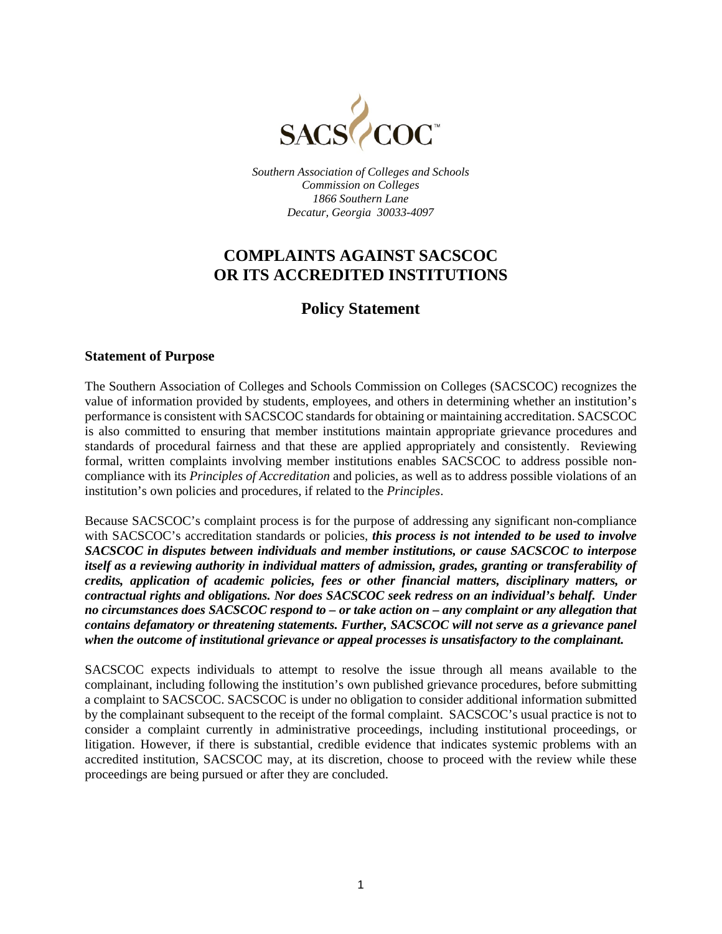

*Southern Association of Colleges and Schools Commission on Colleges 1866 Southern Lane Decatur, Georgia 30033-4097*

# **COMPLAINTS AGAINST SACSCOC OR ITS ACCREDITED INSTITUTIONS**

# **Policy Statement**

### **Statement of Purpose**

The Southern Association of Colleges and Schools Commission on Colleges (SACSCOC) recognizes the value of information provided by students, employees, and others in determining whether an institution's performance is consistent with SACSCOC standards for obtaining or maintaining accreditation. SACSCOC is also committed to ensuring that member institutions maintain appropriate grievance procedures and standards of procedural fairness and that these are applied appropriately and consistently. Reviewing formal, written complaints involving member institutions enables SACSCOC to address possible noncompliance with its *Principles of Accreditation* and policies, as well as to address possible violations of an institution's own policies and procedures, if related to the *Principles*.

Because SACSCOC's complaint process is for the purpose of addressing any significant non-compliance with SACSCOC's accreditation standards or policies, *this process is not intended to be used to involve SACSCOC in disputes between individuals and member institutions, or cause SACSCOC to interpose itself as a reviewing authority in individual matters of admission, grades, granting or transferability of credits, application of academic policies, fees or other financial matters, disciplinary matters, or contractual rights and obligations. Nor does SACSCOC seek redress on an individual's behalf. Under no circumstances does SACSCOC respond to – or take action on – any complaint or any allegation that contains defamatory or threatening statements. Further, SACSCOC will not serve as a grievance panel when the outcome of institutional grievance or appeal processes is unsatisfactory to the complainant.*

SACSCOC expects individuals to attempt to resolve the issue through all means available to the complainant, including following the institution's own published grievance procedures, before submitting a complaint to SACSCOC. SACSCOC is under no obligation to consider additional information submitted by the complainant subsequent to the receipt of the formal complaint. SACSCOC's usual practice is not to consider a complaint currently in administrative proceedings, including institutional proceedings, or litigation. However, if there is substantial, credible evidence that indicates systemic problems with an accredited institution, SACSCOC may, at its discretion, choose to proceed with the review while these proceedings are being pursued or after they are concluded.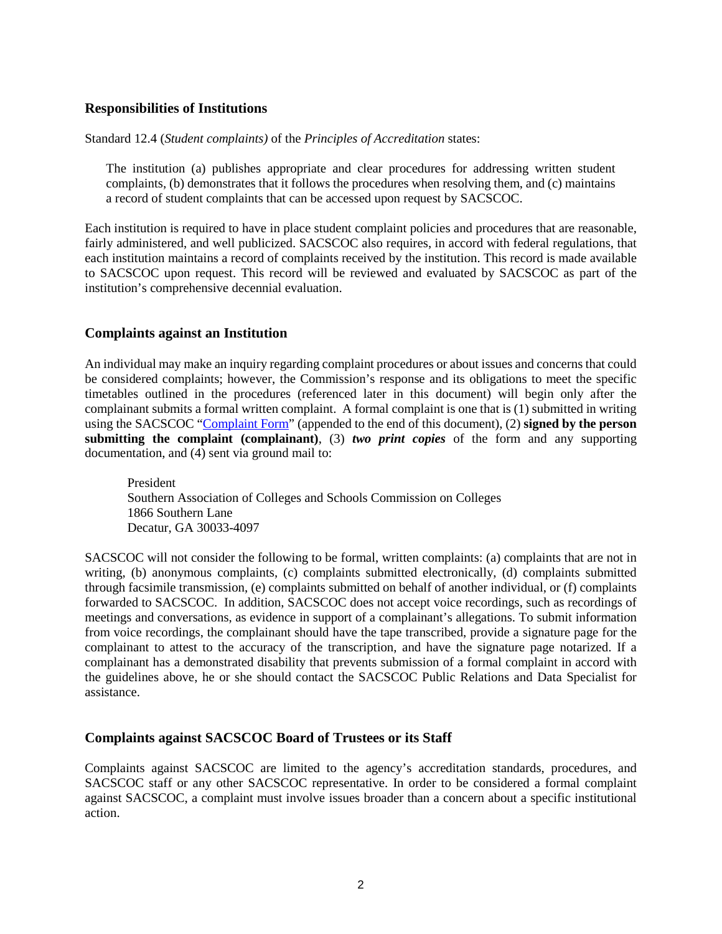### **Responsibilities of Institutions**

Standard 12.4 (*Student complaints)* of the *Principles of Accreditation* states:

The institution (a) publishes appropriate and clear procedures for addressing written student complaints, (b) demonstrates that it follows the procedures when resolving them, and (c) maintains a record of student complaints that can be accessed upon request by SACSCOC.

Each institution is required to have in place student complaint policies and procedures that are reasonable, fairly administered, and well publicized. SACSCOC also requires, in accord with federal regulations, that each institution maintains a record of complaints received by the institution. This record is made available to SACSCOC upon request. This record will be reviewed and evaluated by SACSCOC as part of the institution's comprehensive decennial evaluation.

#### **Complaints against an Institution**

An individual may make an inquiry regarding complaint procedures or about issues and concerns that could be considered complaints; however, the Commission's response and its obligations to meet the specific timetables outlined in the procedures (referenced later in this document) will begin only after the complainant submits a formal written complaint. A formal complaint is one that is (1) submitted in writing using the SACSCOC ["Complaint Form"](#page-8-0) (appended to the end of this document), (2) **signed by the person submitting the complaint (complainant)**, (3) *two print copies* of the form and any supporting documentation, and (4) sent via ground mail to:

President Southern Association of Colleges and Schools Commission on Colleges 1866 Southern Lane Decatur, GA 30033-4097

SACSCOC will not consider the following to be formal, written complaints: (a) complaints that are not in writing, (b) anonymous complaints, (c) complaints submitted electronically, (d) complaints submitted through facsimile transmission, (e) complaints submitted on behalf of another individual, or (f) complaints forwarded to SACSCOC. In addition, SACSCOC does not accept voice recordings, such as recordings of meetings and conversations, as evidence in support of a complainant's allegations. To submit information from voice recordings, the complainant should have the tape transcribed, provide a signature page for the complainant to attest to the accuracy of the transcription, and have the signature page notarized. If a complainant has a demonstrated disability that prevents submission of a formal complaint in accord with the guidelines above, he or she should contact the SACSCOC Public Relations and Data Specialist for assistance.

### **Complaints against SACSCOC Board of Trustees or its Staff**

Complaints against SACSCOC are limited to the agency's accreditation standards, procedures, and SACSCOC staff or any other SACSCOC representative. In order to be considered a formal complaint against SACSCOC, a complaint must involve issues broader than a concern about a specific institutional action.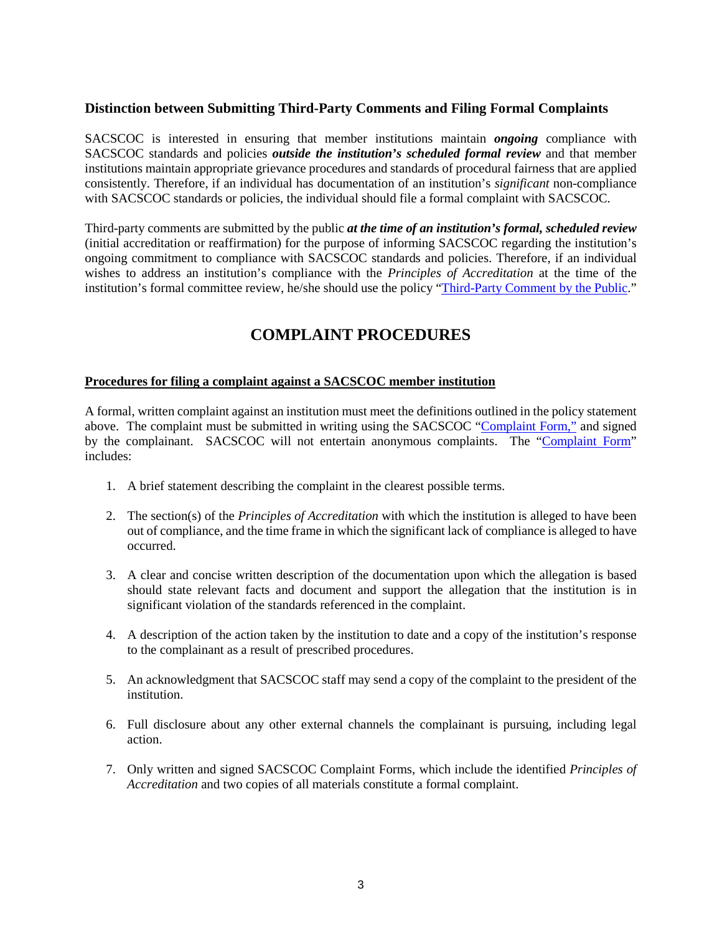### **Distinction between Submitting Third-Party Comments and Filing Formal Complaints**

SACSCOC is interested in ensuring that member institutions maintain *ongoing* compliance with SACSCOC standards and policies *outside the institution's scheduled formal review* and that member institutions maintain appropriate grievance procedures and standards of procedural fairness that are applied consistently. Therefore, if an individual has documentation of an institution's *significant* non-compliance with SACSCOC standards or policies, the individual should file a formal complaint with SACSCOC.

Third-party comments are submitted by the public *at the time of an institution's formal, scheduled review* (initial accreditation or reaffirmation) for the purpose of informing SACSCOC regarding the institution's ongoing commitment to compliance with SACSCOC standards and policies. Therefore, if an individual wishes to address an institution's compliance with the *Principles of Accreditation* at the time of the institution's formal committee review, he/she should use the policy ["Third-Party Comment by the Public.](http://www.sacscoc.org/pdf/Third%20Party%20Comment%20by%20the%20Public-Final.pdf)"

# **COMPLAINT PROCEDURES**

#### **Procedures for filing a complaint against a SACSCOC member institution**

A formal, written complaint against an institution must meet the definitions outlined in the policy statement above. The complaint must be submitted in writing using the SACSCOC ["Complaint Form,"](#page-8-1) and signed by the complainant. SACSCOC will not entertain anonymous complaints. The ["Complaint Form"](#page-8-1) includes:

- 1. A brief statement describing the complaint in the clearest possible terms.
- 2. The section(s) of the *Principles of Accreditation* with which the institution is alleged to have been out of compliance, and the time frame in which the significant lack of compliance is alleged to have occurred.
- 3. A clear and concise written description of the documentation upon which the allegation is based should state relevant facts and document and support the allegation that the institution is in significant violation of the standards referenced in the complaint.
- 4. A description of the action taken by the institution to date and a copy of the institution's response to the complainant as a result of prescribed procedures.
- 5. An acknowledgment that SACSCOC staff may send a copy of the complaint to the president of the institution.
- 6. Full disclosure about any other external channels the complainant is pursuing, including legal action.
- 7. Only written and signed SACSCOC Complaint Forms, which include the identified *Principles of Accreditation* and two copies of all materials constitute a formal complaint.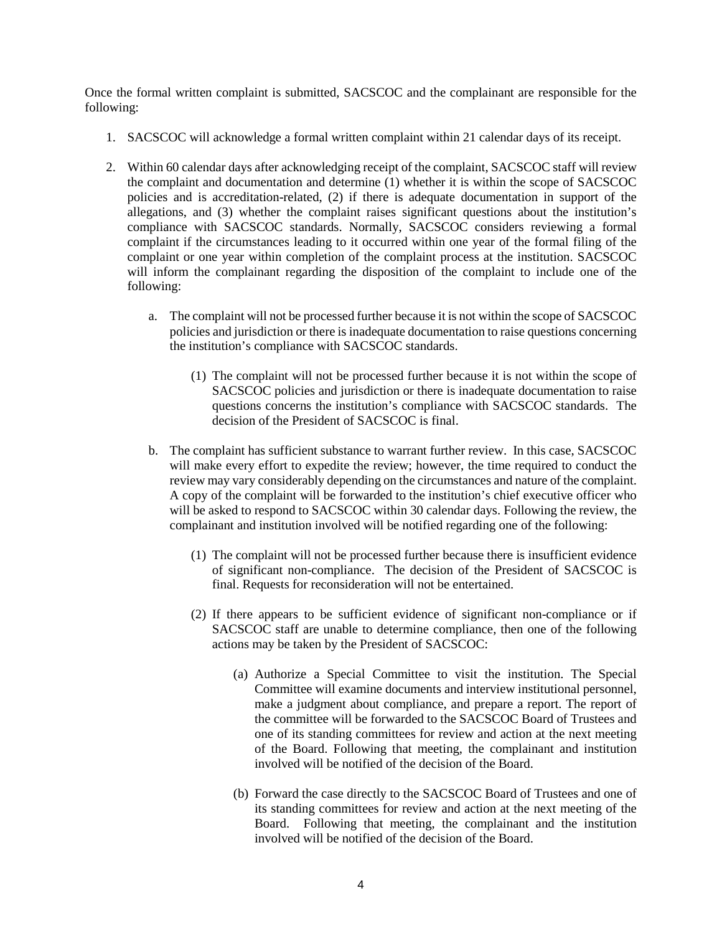Once the formal written complaint is submitted, SACSCOC and the complainant are responsible for the following:

- 1. SACSCOC will acknowledge a formal written complaint within 21 calendar days of its receipt.
- 2. Within 60 calendar days after acknowledging receipt of the complaint, SACSCOC staff will review the complaint and documentation and determine (1) whether it is within the scope of SACSCOC policies and is accreditation-related, (2) if there is adequate documentation in support of the allegations, and (3) whether the complaint raises significant questions about the institution's compliance with SACSCOC standards. Normally, SACSCOC considers reviewing a formal complaint if the circumstances leading to it occurred within one year of the formal filing of the complaint or one year within completion of the complaint process at the institution. SACSCOC will inform the complainant regarding the disposition of the complaint to include one of the following:
	- a. The complaint will not be processed further because it is not within the scope of SACSCOC policies and jurisdiction or there is inadequate documentation to raise questions concerning the institution's compliance with SACSCOC standards.
		- (1) The complaint will not be processed further because it is not within the scope of SACSCOC policies and jurisdiction or there is inadequate documentation to raise questions concerns the institution's compliance with SACSCOC standards. The decision of the President of SACSCOC is final.
	- b. The complaint has sufficient substance to warrant further review. In this case, SACSCOC will make every effort to expedite the review; however, the time required to conduct the review may vary considerably depending on the circumstances and nature of the complaint. A copy of the complaint will be forwarded to the institution's chief executive officer who will be asked to respond to SACSCOC within 30 calendar days. Following the review, the complainant and institution involved will be notified regarding one of the following:
		- (1) The complaint will not be processed further because there is insufficient evidence of significant non-compliance. The decision of the President of SACSCOC is final. Requests for reconsideration will not be entertained.
		- (2) If there appears to be sufficient evidence of significant non-compliance or if SACSCOC staff are unable to determine compliance, then one of the following actions may be taken by the President of SACSCOC:
			- (a) Authorize a Special Committee to visit the institution. The Special Committee will examine documents and interview institutional personnel, make a judgment about compliance, and prepare a report. The report of the committee will be forwarded to the SACSCOC Board of Trustees and one of its standing committees for review and action at the next meeting of the Board. Following that meeting, the complainant and institution involved will be notified of the decision of the Board.
			- (b) Forward the case directly to the SACSCOC Board of Trustees and one of its standing committees for review and action at the next meeting of the Board. Following that meeting, the complainant and the institution involved will be notified of the decision of the Board.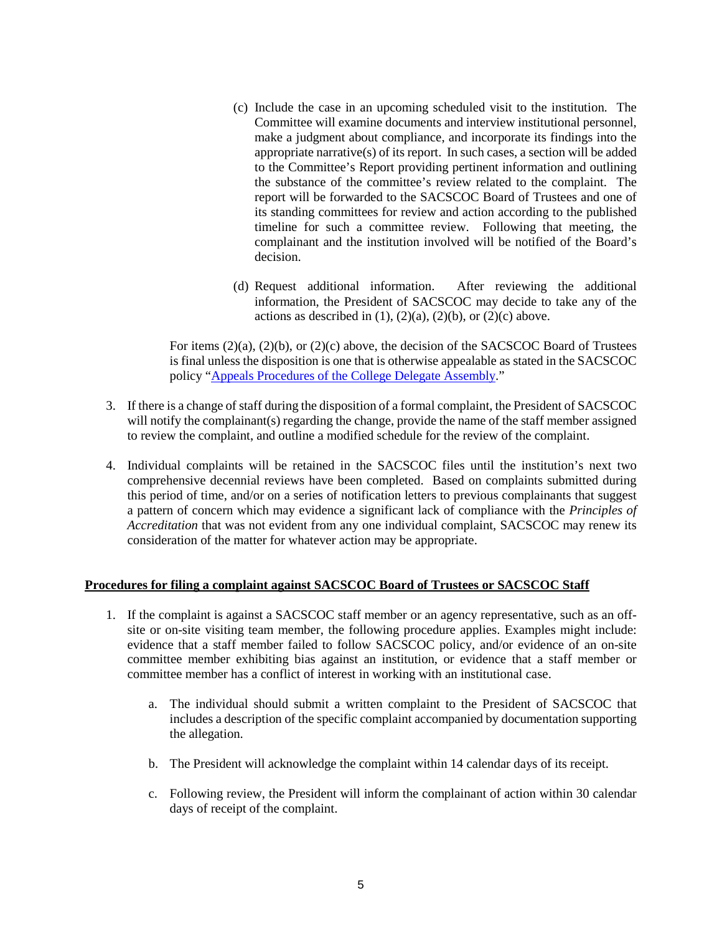- (c) Include the case in an upcoming scheduled visit to the institution. The Committee will examine documents and interview institutional personnel, make a judgment about compliance, and incorporate its findings into the appropriate narrative(s) of its report. In such cases, a section will be added to the Committee's Report providing pertinent information and outlining the substance of the committee's review related to the complaint. The report will be forwarded to the SACSCOC Board of Trustees and one of its standing committees for review and action according to the published timeline for such a committee review. Following that meeting, the complainant and the institution involved will be notified of the Board's decision.
- (d) Request additional information. After reviewing the additional information, the President of SACSCOC may decide to take any of the actions as described in  $(1)$ ,  $(2)(a)$ ,  $(2)(b)$ , or  $(2)(c)$  above.

For items  $(2)(a)$ ,  $(2)(b)$ , or  $(2)(c)$  above, the decision of the SACSCOC Board of Trustees is final unless the disposition is one that is otherwise appealable as stated in the SACSCOC policy ["Appeals Procedures of the College Delegate Assembly.](http://sacscoc.org/app/uploads/2019/08/AppealsProcedures.pdf)"

- 3. If there is a change of staff during the disposition of a formal complaint, the President of SACSCOC will notify the complainant(s) regarding the change, provide the name of the staff member assigned to review the complaint, and outline a modified schedule for the review of the complaint.
- 4. Individual complaints will be retained in the SACSCOC files until the institution's next two comprehensive decennial reviews have been completed. Based on complaints submitted during this period of time, and/or on a series of notification letters to previous complainants that suggest a pattern of concern which may evidence a significant lack of compliance with the *Principles of Accreditation* that was not evident from any one individual complaint, SACSCOC may renew its consideration of the matter for whatever action may be appropriate.

#### **Procedures for filing a complaint against SACSCOC Board of Trustees or SACSCOC Staff**

- 1. If the complaint is against a SACSCOC staff member or an agency representative, such as an offsite or on-site visiting team member, the following procedure applies. Examples might include: evidence that a staff member failed to follow SACSCOC policy, and/or evidence of an on-site committee member exhibiting bias against an institution, or evidence that a staff member or committee member has a conflict of interest in working with an institutional case.
	- a. The individual should submit a written complaint to the President of SACSCOC that includes a description of the specific complaint accompanied by documentation supporting the allegation.
	- b. The President will acknowledge the complaint within 14 calendar days of its receipt.
	- c. Following review, the President will inform the complainant of action within 30 calendar days of receipt of the complaint.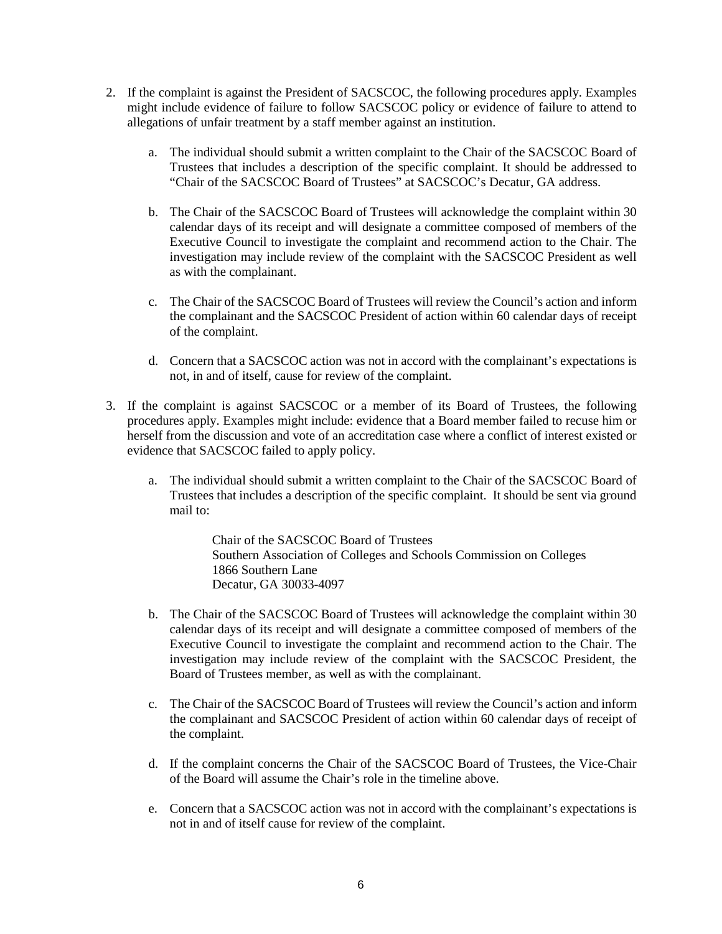- 2. If the complaint is against the President of SACSCOC, the following procedures apply. Examples might include evidence of failure to follow SACSCOC policy or evidence of failure to attend to allegations of unfair treatment by a staff member against an institution.
	- a. The individual should submit a written complaint to the Chair of the SACSCOC Board of Trustees that includes a description of the specific complaint. It should be addressed to "Chair of the SACSCOC Board of Trustees" at SACSCOC's Decatur, GA address.
	- b. The Chair of the SACSCOC Board of Trustees will acknowledge the complaint within 30 calendar days of its receipt and will designate a committee composed of members of the Executive Council to investigate the complaint and recommend action to the Chair. The investigation may include review of the complaint with the SACSCOC President as well as with the complainant.
	- c. The Chair of the SACSCOC Board of Trustees will review the Council's action and inform the complainant and the SACSCOC President of action within 60 calendar days of receipt of the complaint.
	- d. Concern that a SACSCOC action was not in accord with the complainant's expectations is not, in and of itself, cause for review of the complaint.
- 3. If the complaint is against SACSCOC or a member of its Board of Trustees, the following procedures apply. Examples might include: evidence that a Board member failed to recuse him or herself from the discussion and vote of an accreditation case where a conflict of interest existed or evidence that SACSCOC failed to apply policy.
	- a. The individual should submit a written complaint to the Chair of the SACSCOC Board of Trustees that includes a description of the specific complaint. It should be sent via ground mail to:

Chair of the SACSCOC Board of Trustees Southern Association of Colleges and Schools Commission on Colleges 1866 Southern Lane Decatur, GA 30033-4097

- b. The Chair of the SACSCOC Board of Trustees will acknowledge the complaint within 30 calendar days of its receipt and will designate a committee composed of members of the Executive Council to investigate the complaint and recommend action to the Chair. The investigation may include review of the complaint with the SACSCOC President, the Board of Trustees member, as well as with the complainant.
- c. The Chair of the SACSCOC Board of Trustees will review the Council's action and inform the complainant and SACSCOC President of action within 60 calendar days of receipt of the complaint.
- d. If the complaint concerns the Chair of the SACSCOC Board of Trustees, the Vice-Chair of the Board will assume the Chair's role in the timeline above.
- e. Concern that a SACSCOC action was not in accord with the complainant's expectations is not in and of itself cause for review of the complaint.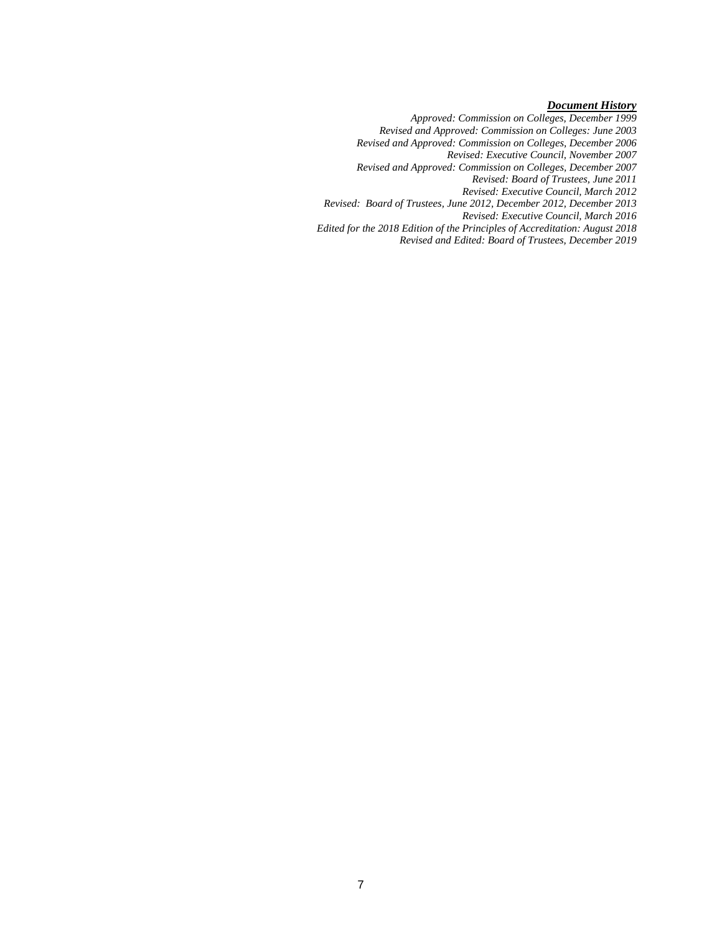#### *Document History*

*Approved: Commission on Colleges, December 1999*

*Revised and Approved: Commission on Colleges: June 2003*

*Revised and Approved: Commission on Colleges, December 2006*

*Revised: Executive Council, November 2007*

*Revised and Approved: Commission on Colleges, December 2007*

*Revised: Board of Trustees, June 2011*

*Revised: Executive Council, March 2012*

*Revised: Board of Trustees, June 2012, December 2012, December 2013*

*Revised: Executive Council, March 2016*

*Edited for the 2018 Edition of the Principles of Accreditation: August 2018*

*Revised and Edited: Board of Trustees, December 2019*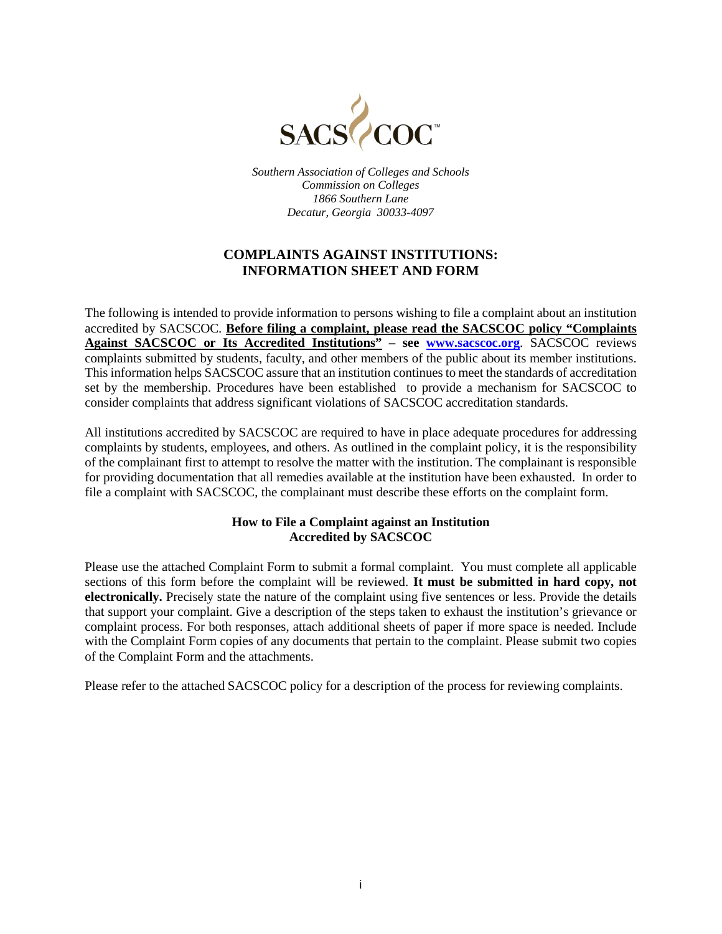

*Southern Association of Colleges and Schools Commission on Colleges 1866 Southern Lane Decatur, Georgia 30033-4097*

## **COMPLAINTS AGAINST INSTITUTIONS: INFORMATION SHEET AND FORM**

The following is intended to provide information to persons wishing to file a complaint about an institution accredited by SACSCOC. **Before filing a complaint, please read the SACSCOC policy "Complaints Against SACSCOC or Its Accredited Institutions" – see [www.sacscoc.org](http://www.sacscoc.org/)**. SACSCOC reviews complaints submitted by students, faculty, and other members of the public about its member institutions. This information helps SACSCOC assure that an institution continues to meet the standards of accreditation set by the membership. Procedures have been established to provide a mechanism for SACSCOC to consider complaints that address significant violations of SACSCOC accreditation standards.

All institutions accredited by SACSCOC are required to have in place adequate procedures for addressing complaints by students, employees, and others. As outlined in the complaint policy, it is the responsibility of the complainant first to attempt to resolve the matter with the institution. The complainant is responsible for providing documentation that all remedies available at the institution have been exhausted. In order to file a complaint with SACSCOC, the complainant must describe these efforts on the complaint form.

### **How to File a Complaint against an Institution Accredited by SACSCOC**

Please use the attached Complaint Form to submit a formal complaint. You must complete all applicable sections of this form before the complaint will be reviewed. **It must be submitted in hard copy, not electronically.** Precisely state the nature of the complaint using five sentences or less. Provide the details that support your complaint. Give a description of the steps taken to exhaust the institution's grievance or complaint process. For both responses, attach additional sheets of paper if more space is needed. Include with the Complaint Form copies of any documents that pertain to the complaint. Please submit two copies of the Complaint Form and the attachments.

Please refer to the attached SACSCOC policy for a description of the process for reviewing complaints.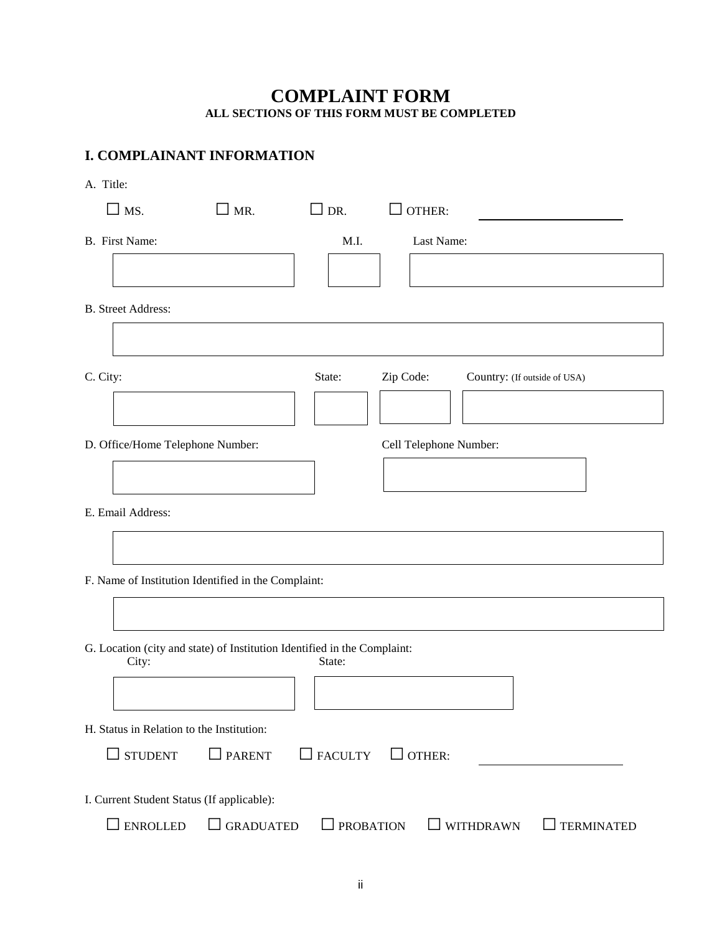## **COMPLAINT FORM ALL SECTIONS OF THIS FORM MUST BE COMPLETED**

# <span id="page-8-1"></span><span id="page-8-0"></span>**I. COMPLAINANT INFORMATION**

A. Title:

| $\square$ MS.                                                                               | $\mathsf{\rfloor}$ MR. | $\Box$ DR.       | OTHER:                 |                                |  |  |
|---------------------------------------------------------------------------------------------|------------------------|------------------|------------------------|--------------------------------|--|--|
| B. First Name:                                                                              |                        | M.I.             | Last Name:             |                                |  |  |
|                                                                                             |                        |                  |                        |                                |  |  |
| <b>B.</b> Street Address:                                                                   |                        |                  |                        |                                |  |  |
|                                                                                             |                        |                  |                        |                                |  |  |
| C. City:                                                                                    |                        | State:           | Zip Code:              | Country: (If outside of USA)   |  |  |
|                                                                                             |                        |                  |                        |                                |  |  |
| D. Office/Home Telephone Number:                                                            |                        |                  | Cell Telephone Number: |                                |  |  |
|                                                                                             |                        |                  |                        |                                |  |  |
| E. Email Address:                                                                           |                        |                  |                        |                                |  |  |
|                                                                                             |                        |                  |                        |                                |  |  |
| F. Name of Institution Identified in the Complaint:                                         |                        |                  |                        |                                |  |  |
|                                                                                             |                        |                  |                        |                                |  |  |
| G. Location (city and state) of Institution Identified in the Complaint:<br>City:<br>State: |                        |                  |                        |                                |  |  |
|                                                                                             |                        |                  |                        |                                |  |  |
| H. Status in Relation to the Institution:                                                   |                        |                  |                        |                                |  |  |
| <b>STUDENT</b>                                                                              | $\Box$ PARENT          | $\Box$ FACULTY   | OTHER:<br>$\mathsf{L}$ |                                |  |  |
| I. Current Student Status (If applicable):                                                  |                        |                  |                        |                                |  |  |
| <b>ENROLLED</b>                                                                             | <b>GRADUATED</b>       | <b>PROBATION</b> | $\blacksquare$         | <b>WITHDRAWN</b><br>TERMINATED |  |  |